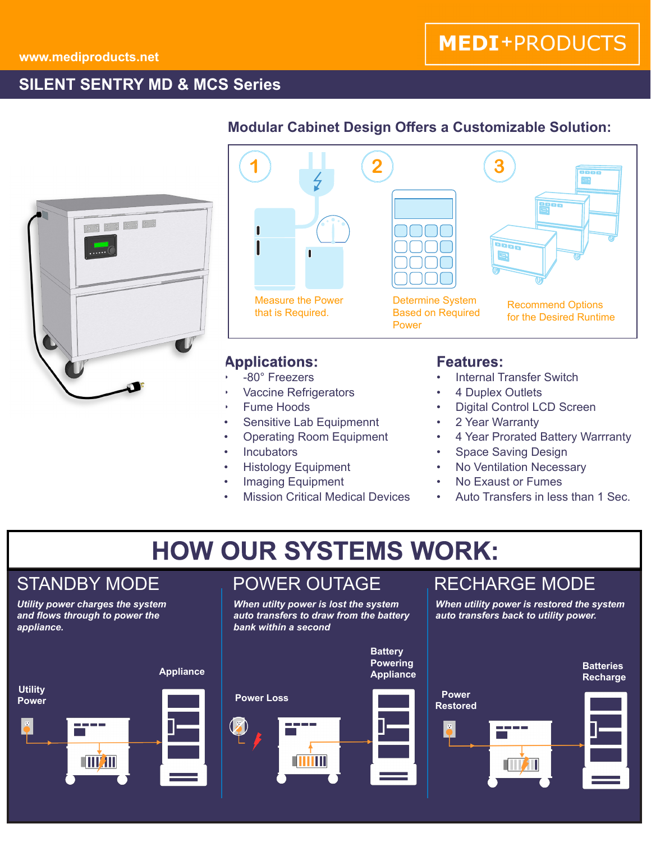# **SILENT SENTRY MD & MCS Series**



## **Modular Cabinet Design Offers a Customizable Solution:**



## **Applications:**

- -80° Freezers
- Vaccine Refrigerators
- Fume Hoods
- Sensitive Lab Equipmennt
- Operating Room Equipment
- **Incubators**
- Histology Equipment
- Imaging Equipment
- **Mission Critical Medical Devices**

## **Features:**

- **Internal Transfer Switch**
- 4 Duplex Outlets
- Digital Control LCD Screen
- 2 Year Warranty
- 4 Year Prorated Battery Warrranty
- Space Saving Design
- **No Ventilation Necessary**
- No Exaust or Fumes
- Auto Transfers in less than 1 Sec.

# **HOW OUR SYSTEMS WORK:**

*Utility power charges the system and flows through to power the appliance.*



*When utilty power is lost the system auto transfers to draw from the battery bank within a second*



**Battery**



*When utility power is restored the system auto transfers back to utility power.*

> **Batteries Recharge**